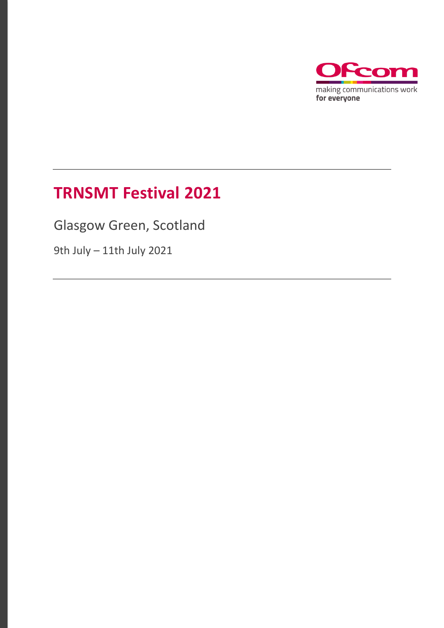

# **TRNSMT Festival 2021**

Glasgow Green, Scotland

9th July – 11th July 2021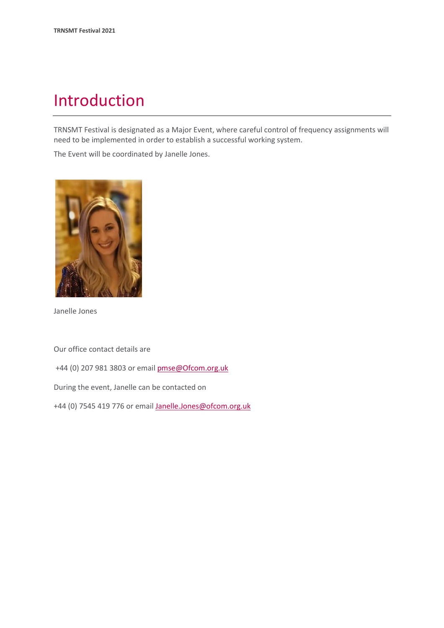## Introduction

TRNSMT Festival is designated as a Major Event, where careful control of frequency assignments will need to be implemented in order to establish a successful working system.

The Event will be coordinated by Janelle Jones.



Janelle Jones

Our office contact details are

+44 (0) 207 981 3803 or emai[l pmse@Ofcom.org.uk](mailto:pmse@arqiva.com)

During the event, Janelle can be contacted on

+44 (0) 7545 419 776 or email Janelle.Jones@ofcom.org.uk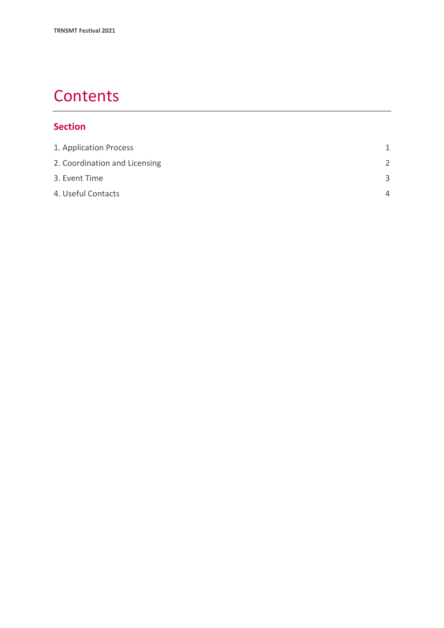# **Contents**

### **Section**

| 1. Application Process        | 1             |
|-------------------------------|---------------|
| 2. Coordination and Licensing | $\mathcal{P}$ |
| 3. Event Time                 | $\mathbf{R}$  |
| 4. Useful Contacts            | Δ             |
|                               |               |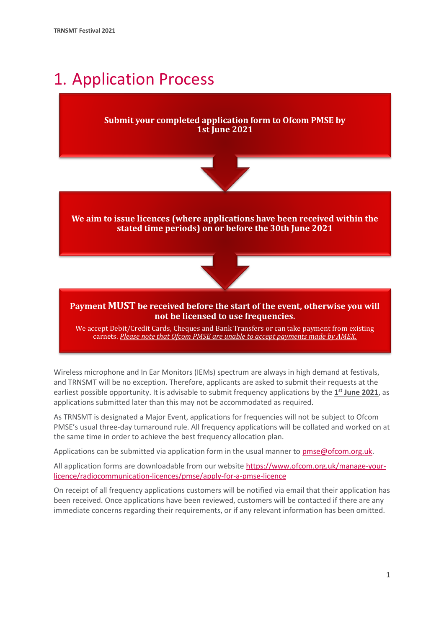# <span id="page-3-0"></span>1. Application Process

### **Submit your completed application form to Ofcom PMSE by 1st June 2021**



**We aim to issue licences (where applications have been received within the stated time periods) on or before the 30th June 2021**



#### **Payment MUST be received before the start of the event, otherwise you will not be licensed to use frequencies.**

We accept Debit/Credit Cards, Cheques and Bank Transfers or can take payment from existing carnets. *Please note that Ofcom PMSE are unable to accept payments made by AMEX.*

Wireless microphone and In Ear Monitors (IEMs) spectrum are always in high demand at festivals, and TRNSMT will be no exception. Therefore, applicants are asked to submit their requests at the earliest possible opportunity. It is advisable to submit frequency applications by the **1 st June 2021**, as applications submitted later than this may not be accommodated as required.

As TRNSMT is designated a Major Event, applications for frequencies will not be subject to Ofcom PMSE's usual three-day turnaround rule. All frequency applications will be collated and worked on at the same time in order to achieve the best frequency allocation plan.

Applications can be submitted via application form in the usual manner to [pmse@ofcom.org.uk.](mailto:pmse@ofcom.org.uk)

All application forms are downloadable from our websit[e https://www.ofcom.org.uk/manage-your](https://www.ofcom.org.uk/manage-your-licence/radiocommunication-licences/pmse/apply-for-a-pmse-licence)[licence/radiocommunication-licences/pmse/apply-for-a-pmse-licence](https://www.ofcom.org.uk/manage-your-licence/radiocommunication-licences/pmse/apply-for-a-pmse-licence)

On receipt of all frequency applications customers will be notified via email that their application has been received. Once applications have been reviewed, customers will be contacted if there are any immediate concerns regarding their requirements, or if any relevant information has been omitted.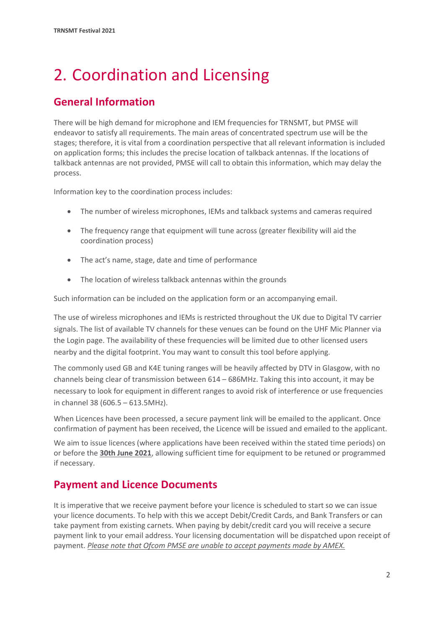# <span id="page-4-0"></span>2. Coordination and Licensing

## **General Information**

There will be high demand for microphone and IEM frequencies for TRNSMT, but PMSE will endeavor to satisfy all requirements. The main areas of concentrated spectrum use will be the stages; therefore, it is vital from a coordination perspective that all relevant information is included on application forms; this includes the precise location of talkback antennas. If the locations of talkback antennas are not provided, PMSE will call to obtain this information, which may delay the process.

Information key to the coordination process includes:

- The number of wireless microphones, IEMs and talkback systems and cameras required
- The frequency range that equipment will tune across (greater flexibility will aid the coordination process)
- The act's name, stage, date and time of performance
- The location of wireless talkback antennas within the grounds

Such information can be included on the application form or an accompanying email.

The use of wireless microphones and IEMs is restricted throughout the UK due to Digital TV carrier signals. The list of available TV channels for these venues can be found on the UHF Mic Planner via the Login page. The availability of these frequencies will be limited due to other licensed users nearby and the digital footprint. You may want to consult this tool before applying.

The commonly used GB and K4E tuning ranges will be heavily affected by DTV in Glasgow, with no channels being clear of transmission between 614 – 686MHz. Taking this into account, it may be necessary to look for equipment in different ranges to avoid risk of interference or use frequencies in channel 38 (606.5 – 613.5MHz).

When Licences have been processed, a secure payment link will be emailed to the applicant. Once confirmation of payment has been received, the Licence will be issued and emailed to the applicant.

We aim to issue licences (where applications have been received within the stated time periods) on or before the **30th June 2021**, allowing sufficient time for equipment to be retuned or programmed if necessary.

### **Payment and Licence Documents**

It is imperative that we receive payment before your licence is scheduled to start so we can issue your licence documents. To help with this we accept Debit/Credit Cards, and Bank Transfers or can take payment from existing carnets. When paying by debit/credit card you will receive a secure payment link to your email address. Your licensing documentation will be dispatched upon receipt of payment. *Please note that Ofcom PMSE are unable to accept payments made by AMEX.*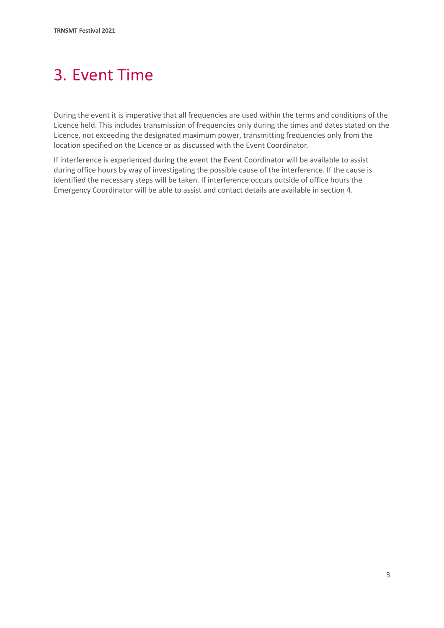# <span id="page-5-0"></span>3. Event Time

During the event it is imperative that all frequencies are used within the terms and conditions of the Licence held. This includes transmission of frequencies only during the times and dates stated on the Licence, not exceeding the designated maximum power, transmitting frequencies only from the location specified on the Licence or as discussed with the Event Coordinator.

If interference is experienced during the event the Event Coordinator will be available to assist during office hours by way of investigating the possible cause of the interference. If the cause is identified the necessary steps will be taken. If interference occurs outside of office hours the Emergency Coordinator will be able to assist and contact details are available in section 4.